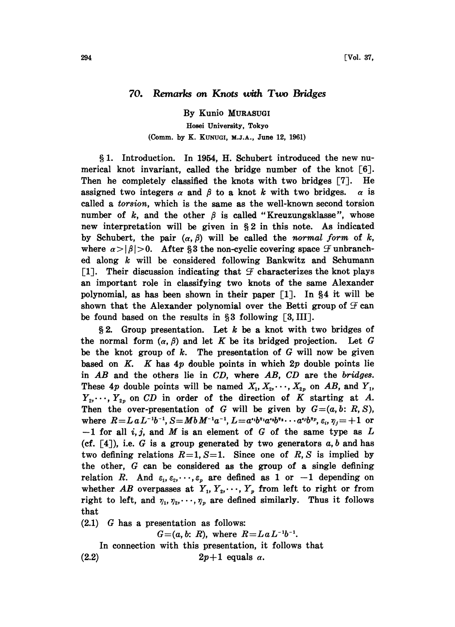## 70. Remarks on Knots with Two Bridges

By Kunio MURASUGI Hosei University, Tokyo (Comm. by K. KUNUGI, M.J.A., June 12, 1961)

1. Introduction. In 1954, H. Schubert introduced the new numerical knot invariant, called the bridge number of the knot  $[6]$ . Then he completely classified the knots with two bridges [7]. He assigned two integers  $\alpha$  and  $\beta$  to a knot k with two bridges.  $\alpha$  is called a torsion, which is the same as the well-known second torsion number of  $k$ , and the other  $\beta$  is called "Kreuzungsklasse", whose new interpretation will be given in  $\S 2$  in this note. As indicated by Schubert, the pair  $(\alpha, \beta)$  will be called the normal form of k, where  $\alpha > |\beta| > 0$ . After §3 the non-cyclic covering space  $\mathcal F$  unbranched along  $k$  will be considered following Bankwitz and Schumann [1]. Their discussion indicating that  $\mathcal F$  characterizes the knot plays an important role in classifying two knots of the same Alexander polynomial, as has been shown in their paper  $\lceil 1 \rceil$ . In §4 it will be shown that the Alexander polynomial over the Betti group of  $\mathcal F$  can be found based on the results in  $\S 3$  following  $[3, III]$ .

 $\S 2$ . Group presentation. Let k be a knot with two bridges of the normal form  $(\alpha, \beta)$  and let K be its bridged projection. Let G be the knot group of  $k$ . The presentation of  $G$  will now be given based on K. K has  $4p$  double points in which  $2p$  double points lie in  $AB$  and the others lie in  $CD$ , where  $AB$ ,  $CD$  are the bridges. These 4p double points will be named  $X_1, X_2, \dots, X_{2p}$  on AB, and  $Y_1$ ,  $Y_2, \dots, Y_{2p}$  on CD in order of the direction of K starting at A. Then the over-presentation of G will be given by  $G=(a, b: R, S)$ , where  $R=L a L^{-1}b^{-1}$ ,  $S=M b M^{-1}a^{-1}$ ,  $L=a^{i_1}b^{i_1}a^{i_2}b^{i_3}\cdots a^{i_p}b^{i_p}, \varepsilon_i, \eta_j=+1$  or  $-1$  for all i, j, and M is an element of G of the same type as L (cf.  $[4]$ ), i.e. G is a group generated by two generators  $a, b$  and has two defining relations  $R=1$ ,  $S=1$ . Since one of R, S is implied by the other, G can be considered as the group of a single defining relation R. And  $\varepsilon_1, \varepsilon_2, \dots, \varepsilon_p$  are defined as 1 or  $-1$  depending on whether AB overpasses at  $Y_1, Y_2, \dots, Y_p$  from left to right or from right to left, and  $\eta_1, \eta_2, \dots, \eta_p$  are defined similarly. Thus it follows that

(2.1) G has a presentation as follows:

 $G=(a, b: R)$ , where  $R=L a L^{-1}b^{-1}$ .

In connection with this presentation, it follows that (2.2)  $2p+1$  equals  $\alpha$ .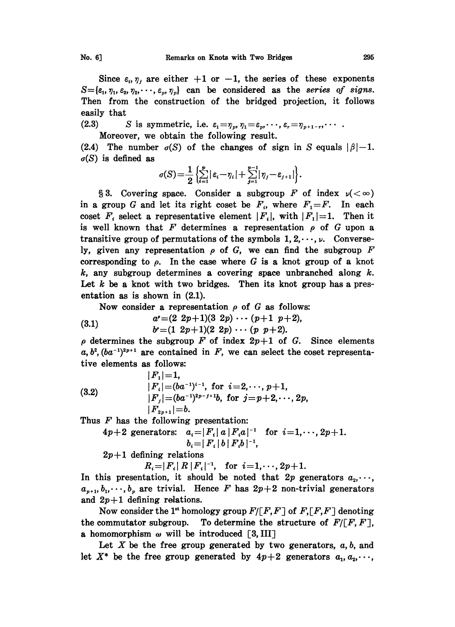Since  $\varepsilon_i$ ,  $\eta_j$  are either  $+1$  or  $-1$ , the series of these exponents  $S = {\varepsilon_1, \eta_1, \varepsilon_2, \eta_2, \cdots, \varepsilon_p, \eta_p}$  can be considered as the series of signs.

Then from the construction of the bridged projection, it follows easily that

(2.3) S is symmetric, i.e.  $\varepsilon_1 = \eta_p, \eta_1 = \varepsilon_p, \dots, \varepsilon_r = \eta_{p+1-r}, \dots$ .

Moreover, we obtain the following result.

(2.4) The number  $\sigma(S)$  of the changes of sign in S equals  $|\beta|-1$ .  $\sigma(S)$  is defined as

$$
\sigma(S) = \frac{1}{2} \left\{ \sum_{i=1}^p |\varepsilon_i - \eta_i| + \sum_{j=1}^{p-1} |\eta_j - \varepsilon_{j+1}| \right\}.
$$

§ 3. Covering space. Consider a subgroup F of index  $\nu(<\infty)$ in a group G and let its right coset be  $F_i$ , where  $F_i = F$ . In each coset  $F_i$  select a representative element  $|F_i|$ , with  $|F_1|=1$ . Then it is well known that F determines a representation  $\rho$  of G upon a transitive group of permutations of the symbols  $1, 2, \dots, \nu$ . Conversely, given any representation  $\rho$  of G, we can find the subgroup F corresponding to  $\rho$ . In the case where G is a knot group of a knot  $k$ , any subgroup determines a covering space unbranched along  $k$ . Let  $k$  be a knot with two bridges. Then its knot group has a presentation as is shown in (2.1).

Now consider a representation  $\rho$  of G as follows:

(3.1) 
$$
a' = (2 \t2p+1)(3 \t2p) \cdots (p+1 \t p+2), b' = (1 \t2p+1)(2 \t2p) \cdots (p \t p+2).
$$

 $\rho$  determines the subgroup  $\overline{F}$  of index  $2p+1$  of  $G$ . Since elements  $a, b^2, (ba^{-1})^{2p+1}$  are contained in  $F$ , we can select the coset representative elements as follows:

(3.2)  
\n
$$
|F_1| = 1,
$$
\n
$$
|F_i| = (ba^{-1})^{i-1}, \text{ for } i = 2, \dots, p+1,
$$
\n
$$
|F_j| = (ba^{-1})^{2p-j+1}b, \text{ for } j = p+2, \dots, 2p,
$$
\n
$$
|F_{2p+1}| = b.
$$

Thus  $F$  has the following presentation:

$$
4p+2 \text{ generators:} \quad a_i = |F_i| \ a \ |F_i a|^{-1} \quad \text{for} \quad i=1,\cdots, 2p+1.
$$
\n
$$
b_i = |F_i| \ b \ |F_i b|^{-1},
$$
\n
$$
2p+1 \text{ defining relations}
$$
\n
$$
R_i = |F_i| \ R \ |F_i|^{-1}, \quad \text{for} \quad i=1,\cdots, 2p+1.
$$
\nis representation, it should be noted that 2p, represents a

 $2p+1$  defining relations

In this presentation, it should be noted that  $2p$  generators  $a_2, \dots$ ,  $a_{p+1}, b_1, \dots, b_p$  are trivial. Hence F has  $2p+2$  non-trivial generators and  $2p+1$  defining relations.

Now consider the 1<sup>st</sup> homology group  $F/[F,F]$  of  $F,[F,F]$  denoting the commutator subgroup. To determine the structure of  $F/\lceil F, F \rceil$ , a homomorphism  $\omega$  will be introduced [3, III]

Let X be the free group generated by two generators,  $a, b$ , and let  $X^*$  be the free group generated by  $4p+2$  generators  $a_1, a_2, \dots$ ,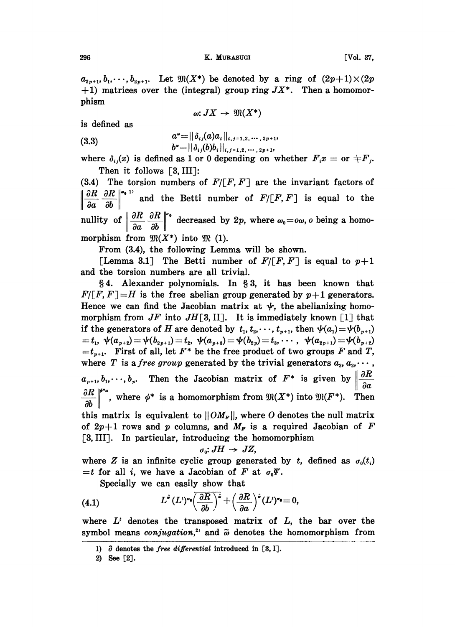$a_{2p+1}, b_1, \dots, b_{2p+1}$ . Let  $\mathfrak{M}(X^*)$  be denoted by a ring of  $(2p+1)\times (2p)$ +1) matrices over the (integral) group ring  $JX^*$ . Then a homomorphism

$$
\omega: JX\to\mathfrak{M}(X^*)
$$

is defined as

(3.3) 
$$
a^* = ||\delta_{ij}(a)a_i||_{i,j=1,2,\cdots,2p+1},
$$

$$
b^* = ||\delta_{ij}(b)b_i||_{i,j=1,2,\cdots,2p+1},
$$

where  $\delta_{ij}(x)$  is defined as 1 or 0 depending on whether  $F_ix =$  or  $\pm F_j$ . Then it follows  $\lceil 3, \text{III} \rceil$ :

(3.4) The torsion numbers of  $F/[F, F]$  are the invariant factors of aR aa ab and the Betti number of  $F/[F, F]$  is equal to the nullity of  $\left\|\frac{\partial R}{\partial a} \frac{\partial R}{\partial b}\right\|^2$  decreased by 2p, where  $\omega_0 = \infty$ , o being a homo-

morphism from  $\mathfrak{M}(X^*)$  into  $\mathfrak{M}(1)$ .

From (3.4), the following Lemma will be shown.

[Lemma 3.1] The Betti number of  $F/[F, F]$  is equal to  $p+1$ and the torsion numbers are all trivial.

§4. Alexander polynomials. In §3, it has been known that  $F/[F, F] = H$  is the free abelian group generated by  $p+1$  generators. Hence we can find the Jacobian matrix at  $\psi$ , the abelianizing homomorphism from  $JF$  into  $JH[3,II]$ . It is immediately known [1] that if the generators of H are denoted by  $t_1, t_2, \dots, t_{p+1}$ , then  $\psi(a_1)=\psi(b_{p+1})$  $t_1=t_1, \ \psi(a_{p+2})=\psi(b_{2p+1})=t_2, \ \psi(a_{p+3})=\psi(b_{2p})=t_3, \cdots, \ \ \psi(a_{2p+1})=\psi(b_{p+2})-b_{p+1}$  $=t_{p+1}$ . First of all, let  $F^*$  be the free product of two groups F and T, where T is a free group generated by the trivial generators  $a_2, a_2, \cdots$ ,  $a_{p+1},b_1,\dots,b_p$ . Then the Jacobian matrix of  $F^*$  is given by  $\left|\frac{\partial R}{\partial a}\right|$ oa where  $\phi^*$  is a homomorphism from  $\mathfrak{M}(X^*)$  into  $\mathfrak{M}(F^*)$ . this matrix is equivalent to  $||OM_F||$ , where O denotes the null matrix of  $2p+1$  rows and p columns, and  $M<sub>F</sub>$  is a required Jacobian of F [3, III]. In particular, introducing the homomorphism

$$
\sigma_0: JH \to JZ,
$$

where Z is an infinite cyclic group generated by t, defined as  $\sigma_0(t)$  $=t$  for all i, we have a Jacobian of F at  $\sigma_0 \Psi$ .

Specially we can easily show that

(4.1) 
$$
L^{s}(L')^{\sigma_{0}}\left(\frac{\partial R}{\partial b}\right)^{\tilde{s}}+\left(\frac{\partial R}{\partial a}\right)^{\tilde{s}}(L')^{\sigma_{0}}=0,
$$

where  $L^t$  denotes the transposed matrix of  $L$ , the bar over the symbol means *conjugation*,<sup>2</sup> and  $\tilde{\omega}$  denotes the homomorphism from

<sup>1)</sup>  $\partial$  denotes the *free differential* introduced in [3, I].

<sup>2)</sup> See [2].